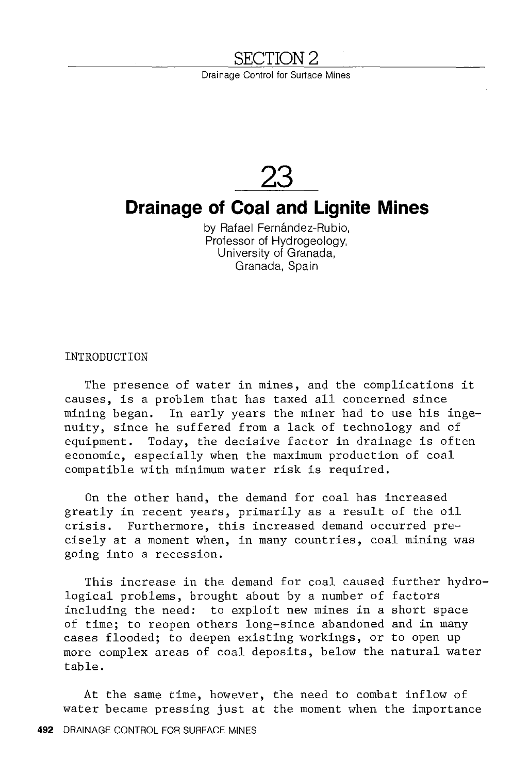## YTON 2

Drainage Control for Surface Mines



# **Drainage of Coal and Lignite Mines**

by Rafael Fernández-Rubio, Professor of Hydrogeology, University of Granada, Granada, Spain

INTRODUCTION

The presence of water in mines, and the complications it causes, is a problem that has taxed all concerned since mining began. In early years the miner had to use his ingenuity, since he suffered from a lack of technology and of equipment. Today, the decisive factor in drainage is often economic, especially when the maximum production of coal compatible with minimum water risk is required.

On the other hand, the demand for coal has increased greatly in recent years, primarily as a result of the oil crisis. Furthermore, this increased demand occurred precisely at a moment when, in many countries, coal mining was going into a recession.

This increase in the demand for coal caused further hydrological problems, brought about by a number of factors including the need: to exploit new mines in a short space of time; to reopen others long-since abandoned and in many cases flooded; to deepen existing workings, or to open up more complex areas of coal deposits, below the natural water table.

At the same time, however, the need to combat inflow of water became pressing just at the moment when the importance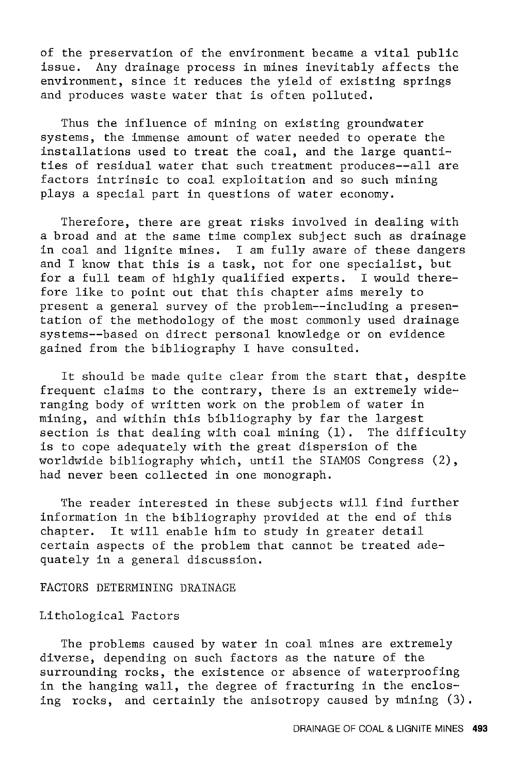of the preservation of the environment became a vital public issue. Any drainage process in mines inevitably affects the environment, since it reduces the yield of existing springs and produces waste water that is often polluted.

Thus the influence of mining on existing groundwater systems, the immense amount of water needed to operate the installations used to treat the coal, and the large quantities of residual water that such treatment produces--all are factors intrinsic to coal exploitation and so such mining plays a special part in questions of water economy.

Therefore, there are great risks involved in dealing with a broad and at the same time complex subject such as drainage in coal and lignite mines. I am fully aware of these dangers and I know that this is a task, not for one specialist, but for a full team of highly qualified experts. I would therefore like to point out that this chapter aims merely to present a general survey of the problem--including a presentation of the methodology of the most commonly used drainage systems--based on direct personal knowledge or on evidence gained from the bibliography I have consulted.

It should be made quite clear from the start that, despite frequent claims to the contrary, there is an extremely wideranging body of written work on the problem of water in mining, and within this bibliography by far the largest section is that dealing with coal mining (1). The difficulty is to cope adequately with the great dispersion of the worldwide bibliography which, until the SIAMOS Congress (2), had never been collected in one monograph.

The reader interested in these subjects will find further information in the bibliography provided at the end of this chapter. It will enable him to study in greater detail certain aspects of the problem that cannot be treated adequately in a general discussion.

## FACTORS DETERMINING DRAINAGE

## Lithological Factors

The problems caused by water in coal mines are extremely diverse, depending on such factors as the nature of the surrounding rocks, the existence or absence of waterproofing in the hanging wall, the degree of fracturing in the enclosing rocks, and certainly the anisotropy caused by mining (3).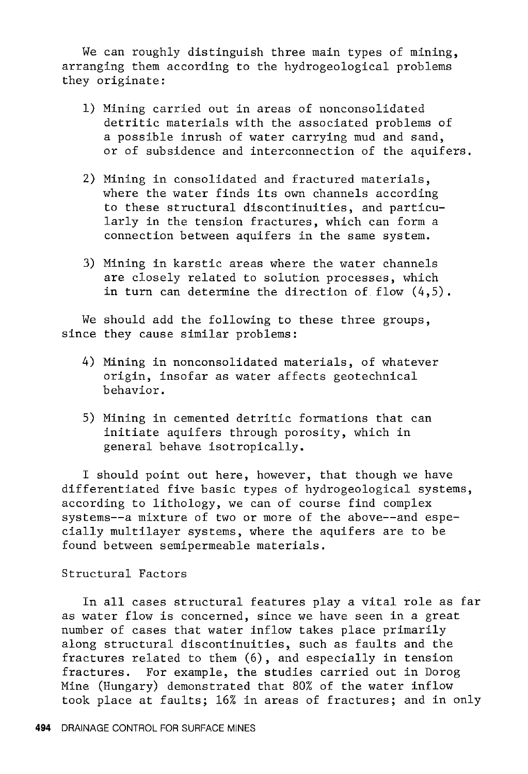We can roughly distinguish three main types of mining, arranging them according to the hydrogeological problems they originate:

- 1) Mining carried out in areas of nonconsolidated detritic materials with the associated problems of a possible inrush of water carrying mud and sand, or of subsidence and interconnection of the aquifers.
- 2) Mining in consolidated and fractured materials, where the water finds its own channels according to these structural discontinuities, and particularly in the tension fractures, which can form a connection between aquifers in the same system.
- 3) Mining in karstic areas where the water channels are closely related to solution processes, which in turn can determine the direction of flow  $(4,5)$ .

We should add the following to these three groups, since they cause similar problems:

- 4) Mining in nonconsolidated materials, of whatever origin, insofar as water affects geotechnical behavior.
- 5) Mining in cemented detritic formations that can initiate aquifers through porosity, which in general behave isotropically.

I should point out here, however, that though we have differentiated five basic types of hydrogeological systems, according to lithology, we can of course find complex systems--a mixture of two or more of the above--and especially multilayer systems, where the aquifers are to be found between semipermeable materials.

## Structural Factors

In all cases structural features play a vital role as far as water flow is concerned, since we have seen in a great number of cases that water inflow takes place primarily along structural discontinuities, such as faults and the fractures related to them (6), and especially in tension fractures. For example, the studies carried out in Dorog Mine (Hungary) demonstrated that 80% of the water inflow took place at faults; 16% in areas of fractures; and in only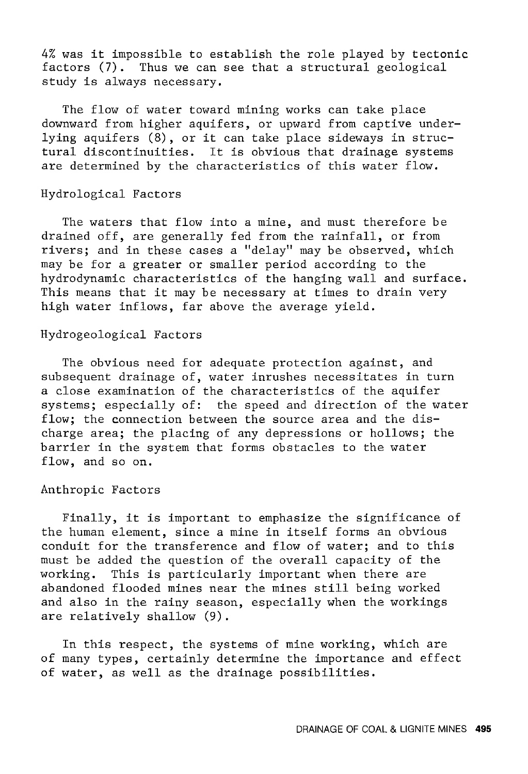4% was it impossible to establish the role played by tectonic factors (7). Thus we can see that a structural geological study is always necessary.

The flow of water toward mining works can take place downward from higher aquifers, or upward from captive underlying aquifers (8), or it can take place sideways in structural discontinuities. It is obvious that drainage systems are determined by the characteristics of this water flow.

## Hydrological Factors

The waters that flow into a mine, and must therefore be drained off, are generally fed from the rainfall, or from rivers; and in these cases a "delay" may be observed, which may be for a greater or smaller period according to the hydrodynamic characteristics of the hanging wall and surface. This means that it may be necessary at times to drain very high water inflows, far above the average yield.

## Hydrogeological Factors

The obvious need for adequate protection against, and subsequent drainage of, water inrushes necessitates in turn a close examination of the characteristics of the aquifer systems; especially of: the speed and direction of the water flow; the connection between the source area and the discharge area; the placing of any depressions or hollows; the barrier in the system that forms obstacles to the water flow, and so on.

## Anthropic Factors

Finally, it is important to emphasize the significance of the human element, since a mine in itself forms an obvious conduit for the transference and flow of water; and to this must be added the question of the overall capacity of the<br>working. This is particularly important when there are This is particularly important when there are abandoned flooded mines near the mines still being worked and also in the rainy season, especially when the workings are relatively shallow (9).

In this respect, the systems of mine working, which are of many types, certainly determine the importance and effect of water, as well as the drainage possibilities.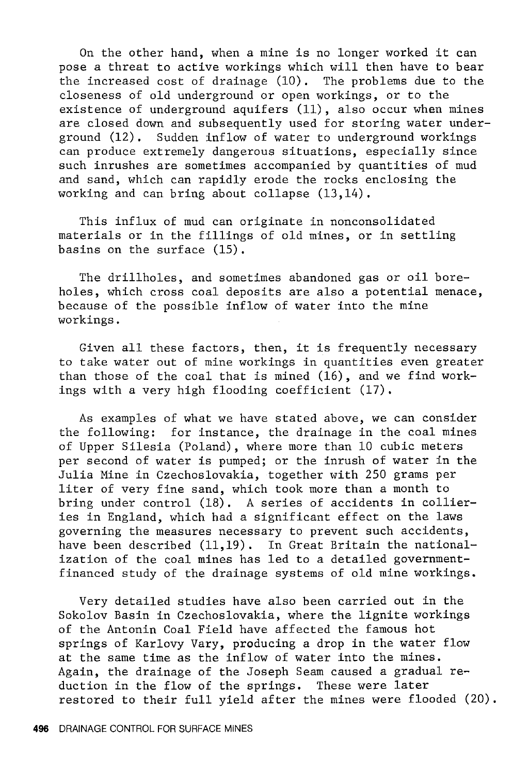On the other hand, when a mine is no longer worked it can pose a threat to active workings which will then have to bear the increased cost of drainage (10). The problems due to the closeness of old underground or open workings, or to the existence of underground aquifers (11), also occur when mines are closed down and subsequently used for storing water underground (12). Sudden inflow of water to underground workings can produce extremely dangerous situations, especially since such inrushes are sometimes accompanied by quantities of mud and sand, which can rapidly erode the rocks enclosing the working and can bring about collapse (13,14).

This influx of mud can originate in nonconsolidated materials or in the fillings of old mines, or in settling basins on the surface (15).

The drillholes, and sometimes abandoned gas or oil boreholes, which cross coal deposits are also a potential menace, because of the possible inflow of water into the mine workings.

Given all these factors, then, it is frequently necessary to take water out of mine workings in quantities even greater than those of the coal that is mined (16), and we find workings with a very high flooding coefficient (17).

As examples of what we have stated above, we can consider the following: for instance, the drainage in the coal mines of Upper Silesia (Poland), where more than 10 cubic meters per second of water is pumped; or the inrush of water in the Julia Mine in Czechoslovakia, together with 250 grams per liter of very fine sand, which took more than a month to bring under control (18). A series of accidents in collieries in England, which had a significant effect on the laws governing the measures necessary to prevent such accidents, have been described (11,19). In Great Britain the nationalization of the coal mines has led to a detailed governmentfinanced study of the drainage systems of old mine workings.

Very detailed studies have also been carried out in the Sokolov Basin in Czechoslovakia, where the lignite workings of the Antonin Coal Field have affected the famous hot springs of Karlovy Vary, producing a drop in the water flow at the same time as the inflow of water into the mines. Again, the drainage of the Joseph Seam caused a gradual reduction in the flow of the springs. These were later restored to their full yield after the mines were flooded (20).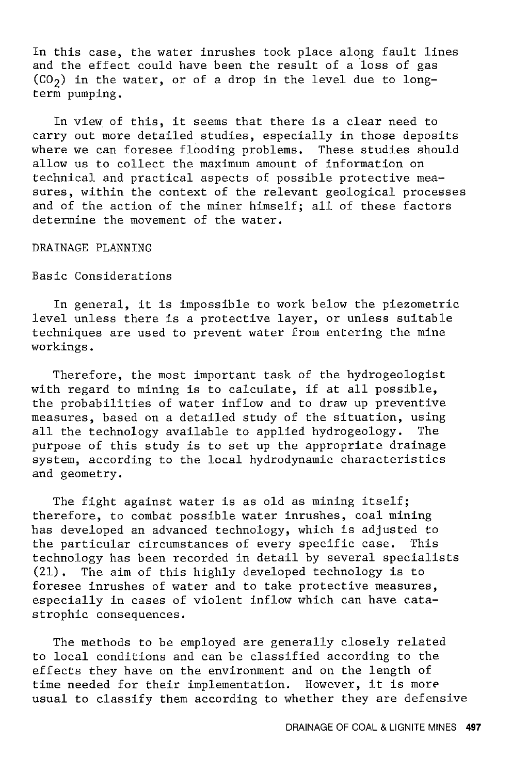In this case, the water inrushes took place along fault lines and the effect could have been the result of a loss of gas  $(CO<sub>2</sub>)$  in the water, or of a drop in the level due to longterm pumping.

In view of this, it seems that there is a clear need to carry out more detailed studies, especially in those deposits where we can foresee flooding problems. These studies should allow us to collect the maximum amount of information on technical and practical aspects of possible protective measures, within the context of the relevant geological processes and of the action of the miner himself; all of these factors determine the movement of the water.

## DRAINAGE PLANNING

## Basic Considerations

In general, it is impossible to work below the piezometric level unless there is a protective layer, or unless suitable techniques are used to prevent water from entering the mine workings.

Therefore, the most important task of the hydrogeologist with regard to mining is to calculate, if at all possible, the probabilities of water inflow and to draw up preventive measures, based on a detailed study of the situation, using<br>all the technology available to applied hydrogeology. The all the technology available to applied hydrogeology. purpose of this study is to set up the appropriate drainage system, according to the local hydrodynamic characteristics and geometry.

The fight against water is as old as mining itself; therefore, to combat possible water inrushes, coal mining has developed an advanced technology, which is adjusted to<br>the particular circumstances of every specific case. This the particular circumstances of every specific case. technology has been recorded in detail by several specialists (21). The aim of this highly developed technology is to foresee inrushes of water and to take protective measures, especially in cases of violent inflow which can have catastrophic consequences.

The methods to be employed are generally closely related to local conditions and can be classified according to the effects they have on the environment and on the length of time needed for their implementation. However, it is more usual to classify them according to whether they are defensive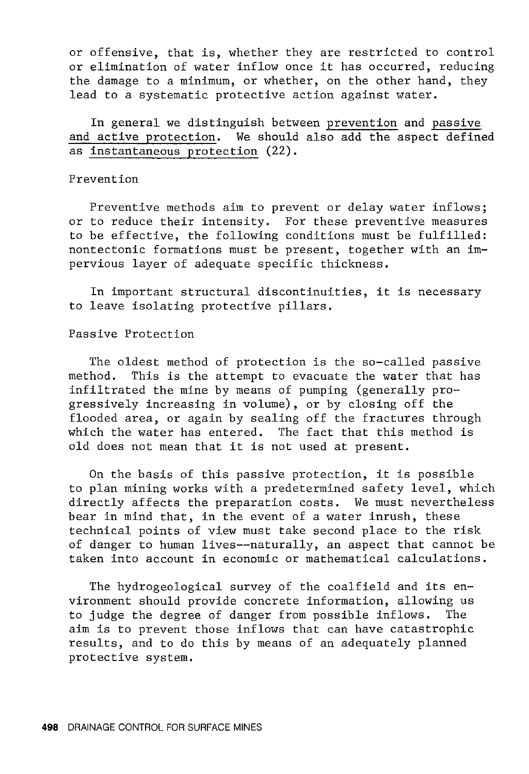or offensive, that is, whether they are restricted to control or elimination of water inflow once it has occurred, reducing the damage to a minimum, or whether, on the other hand, they lead to a systematic protective action against water.

In general we distinguish between prevention and passive and active protection. We should also add the aspect defined as instantaneous protection (22).

### Prevention

Preventive methods aim to prevent or delay water inflows; or to reduce their intensity. For these preventive measures to be effective, the following conditions must be fulfilled: nontectonic formations must be present, together with an impervious layer of adequate specific thickness.

In important structural discontinuities, it is necessary to leave isolating protective pillars.

### Passive Protection

The oldest method of protection is the so-called passive method. This is the attempt to evacuate the water that has infiltrated the mine by means of pumping (generally progressively increasing in volume), or by closing off the flooded area, or again by sealing off the fractures through which the water has entered. The fact that this method is old does not mean that it is not used at present.

On the basis of this passive protection, it is possible to plan mining works with a predetermined safety level, which directly affects the preparation costs. We must nevertheless bear in mind that, in the event of a water inrush, these technical points of view must take second place to the risk of danger to human lives--naturally, an aspect that cannot be taken into account in economic or mathematical calculations.

The hydrogeological survey of the coalfield and its environment should provide concrete information, allowing us to judge the degree of danger from possible inflows. The aim is to prevent those inflows that can have catastrophic results, and to do this by means of an adequately planned protective system.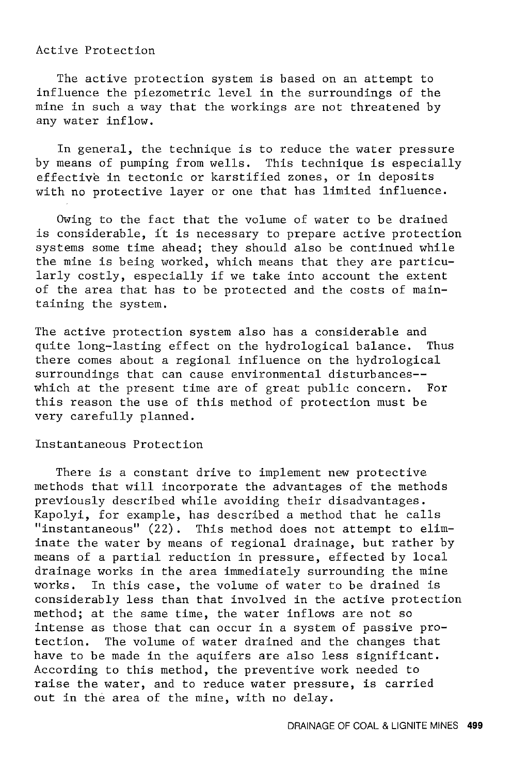#### Active Protection

The active protection system is based on an attempt to influence the piezometric level in the surroundings of the mine in such a way that the workings are not threatened by any water inflow.

In general, the technique is to reduce the water pressure by means of pumping from wells. This technique is especially effective in tectonic or karstified zones, or in deposits with no protective layer or one that has limited influence.

Owing to the fact that the volume of water to be drained is considerable, it is necessary to prepare active protection systems some time ahead; they should also be continued while the mine is being worked, which means that they are particularly costly, especially if we take into account the extent of the area that has to be protected and the costs of maintaining the system.

The active protection system also has a considerable and quite long-lasting effect on the hydrological balance. Thus there comes about a regional influence on the hydrological surroundings that can cause environmental disturbances- which at the present time are of great public concern. For this reason the use of this method of protection must be very carefully planned.

### Instantaneous Protection

There is a constant drive to implement new protective methods that will incorporate the advantages of the methods previously described while avoiding their disadvantages. Kapolyi, for example, has described a method that he calls "instantaneous" (22). This method does not attempt to eliminate the water by means of regional drainage, but rather by means of a partial reduction in pressure, effected by local drainage works in the area immediately surrounding the mine works. In this case, the volume of water to be drained is considerably less than that involved in the active protection method; at the same time, the water inflows are not so intense as those that can occur in a system of passive pro-The volume of water drained and the changes that have to be made in the aquifers are also less significant. According to this method, the preventive work needed to raise the water, and to reduce water pressure, is carried out in the area of the mine, with no delay.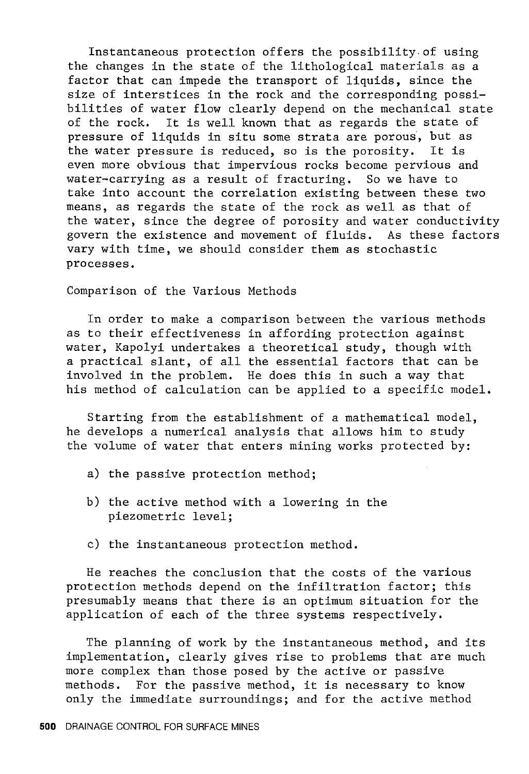Instantaneous protection offers the possibility.of using the changes in the state of the lithological materials as a factor that can impede the transport of liquids, since the size of interstices in the rock and the corresponding possibilities of water flow clearly depend on the mechanical state of the rock. It is well known that as regards the state of pressure of liquids in situ some strata are porous, but as the water pressure is reduced, so is the porosity. It is even more obvious that impervious rocks become pervious and water-carrying as a result of fracturing. So we have to take into account the correlation existing between these two means, as regards the state of the rock as well as that of the water, since the degree of porosity and water conductivity govern the existence and movement of fluids. As these factors vary with time, we should consider them as stochastic processes.

Comparison of the Various Methods

In order to make a comparison between the various methods as to their effectiveness in affording protection against water, Kapolyi undertakes a theoretical study, though with a practical slant, of all the essential factors that can be involved in the problem. He does this in such a way that his method of calculation can be applied to a specific model.

Starting from the establishment of a mathematical model, he develops a numerical analysis that allows him to study the volume of water that enters mining works protected by:

- a) the passive protection method;
- b) the active method with a lowering in the piezometric level;
- c) the instantaneous protection method.

He reaches the conclusion that the costs of the various protection methods depend on the infiltration factor; this presumably means that there is an optimum situation for the application of each of the three systems respectively.

The planning of work by the instantaneous method, and its implementation, clearly gives rise to problems that are much more complex than those posed by the active or passive methods. For the passive method, it is necessary to know only the immediate surroundings; and for the active method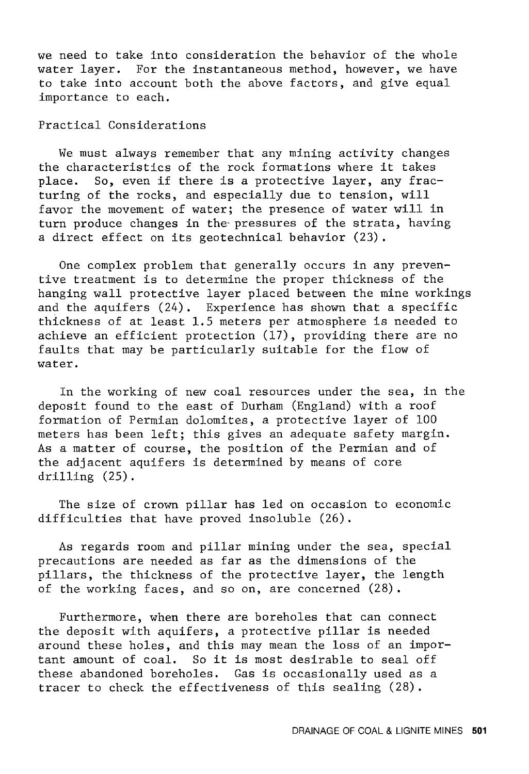we need to take into consideration the behavior of the whole water layer. For the instantaneous method, however, we have to take into account both the above factors, and give equal importance to each.

Practical Considerations

We must always remember that any mining activity changes the characteristics of the rock formations where it takes<br>place. So, even if there is a protective layer, any frac-So, even if there is a protective layer, any fracturing of the rocks, and especially due to tension, will favor the movement of water; the presence of water will in turn produce changes in the- pressures of the strata, having a direct effect on its geotechnical behavior (23) .

One complex problem that generally occurs in any preventive treatment is to determine the proper thickness of the hanging wall protective layer placed between the mine workings and the aquifers (24). Experience has shown that a specific thickness of at least 1.5 meters per atmosphere is needed to achieve an efficient protection (17), providing there are no faults that may be particularly suitable for the flow of water.

In the working of new coal resources under the sea, in the deposit found to the east of Durham (England) with a roof formation of Permian dolomites, a protective layer of 100 meters has been left; this gives an adequate safety margin. As a matter of course, the position of the Permian and of the adjacent aquifers is determined by means of core drilling (25).

The size of crown pillar has led on occasion to economic difficulties that have proved insoluble (26).

As regards room and pillar mining under the sea, special precautions are needed as far as the dimensions of the pillars, the thickness of the protective layer, the length of the working faces, and so on, are concerned (28).

Furthermore, when there are boreholes that can connect the deposit with aquifers, a protective pillar is needed around these holes, and this may mean the loss of an important amount of coal. So it is most desirable to seal off these abandoned boreholes. Gas is occasionally used as a tracer to check the effectiveness of this sealing (28).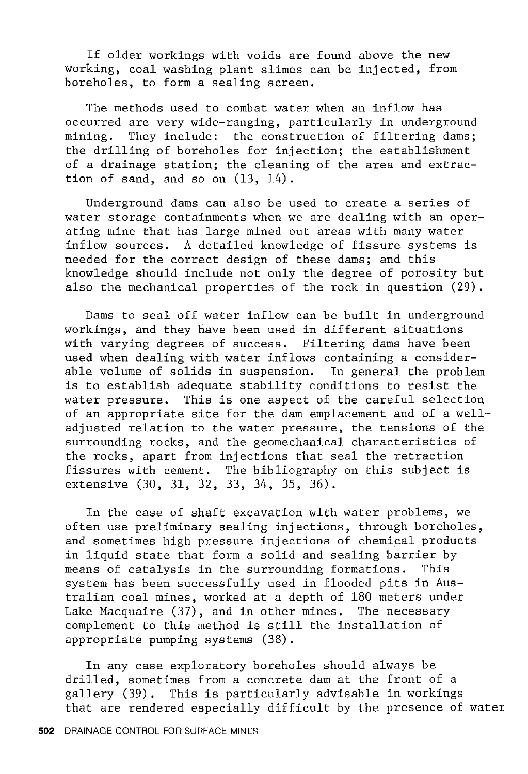If older workings with voids are found above the new working, coal washing plant slimes can be injected, from boreholes, to form a sealing screen.

The methods used to combat water when an inflow has occurred are very wide-ranging, particularly in underground mining. They include: the construction of filtering dams; the drilling of boreholes for injection; the establishment of a drainage station; the cleaning of the area and extraction of sand, and so on (13, 14).

Underground dams can also be used to create a series of water storage containments when we are dealing with an operating mine that has large mined out areas with many water inflow sources. A detailed knowledge of fissure systems is needed for the correct design of these dams; and this knowledge should include not only the degree of porosity but also the mechanical properties of the rock in question (29).

Dams to seal off water inflow can be built in underground workings, and they have been used in different situations with varying degrees of success. Filtering dams have been used when dealing with water inflows containing a considerable volume of solids in suspension. In general the problem is to establish adequate stability conditions to resist the water pressure. This is one aspect of the careful selection of an appropriate site for the dam emplacement and of a welladjusted relation to the water pressure, the tensions of the surrounding rocks, and the geomechanical characteristics of the rocks, apart from injections that seal the retraction fissures with cement. The bibliography on this subject is extensive (30, 31, 32, 33, 34, 35, 36).

In the case of shaft excavation with water problems, we often use preliminary sealing injections, through boreholes, and sometimes high pressure injections of chemical products in liquid state that form a solid and sealing barrier by<br>means of catalysis in the surrounding formations. This means of catalysis in the surrounding formations. system has been successfully used in flooded pits in Australian coal mines, worked at a depth of 180 meters under Lake Macquaire (37), and in other mines. The necessary complement to this method is still the installation of appropriate pumping systems (38).

In any case exploratory boreholes should always be drilled, sometimes from a concrete dam at the front of a gallery (39). This is particularly advisable in workings that are rendered especially difficult by the presence of water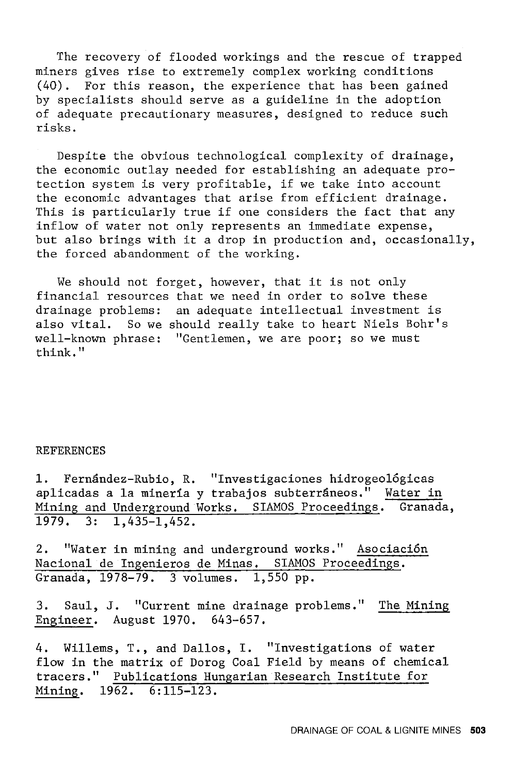The recovery of flooded workings and the rescue of trapped miners gives rise to extremely complex working conditions (40). For this reason, the experience that has been gained by specialists should serve as a guideline in the adoption of adequate precautionary measures, designed to reduce such risks.

Despite the obvious technological complexity of drainage, the economic outlay needed for establishing an adequate protection system is very profitable, if we take into account the economic advantages that arise from efficient drainage. This is particularly true if one considers the fact that any inflow of water not only represents an immediate expense, but also brings with it a drop in production and, occasionally, the forced abandonment of the working.

We should not forget, however, that it is not only financial resources that we need in order to solve these drainage problems: an adequate intellectual investment is also vital. So we should really take to heart Niels Bohr's well-known phrase: "Gentlemen, we are poor; so we must think."

#### REFERENCES

1. Fernández-Rubio, R. "Investigaciones hidrogeológicas aplicadas a la mineria y trabajos subterraneos." Water in Mining and Underground Works. SIAMOS Proceedings. Granada, 1979. 3: 1,435-1,452.

2. "Water in mining and underground works." Asociaci6n Nacional de Ingenieros de Minas. SIAMOS Proceedings. Granada, 1978-79. 3 volumes. 1,550 pp.

3. Saul, J. "Current mine drainage problems." The Mining Engineer. August 1970. 643-657.

4. Willems, T., and Dallos, I. "Investigations of water flow in the matrix of Dorog Coal Field by means of chemical tracers." Publications Hungarian Research Institute for Mining. 1962. 6:115-123.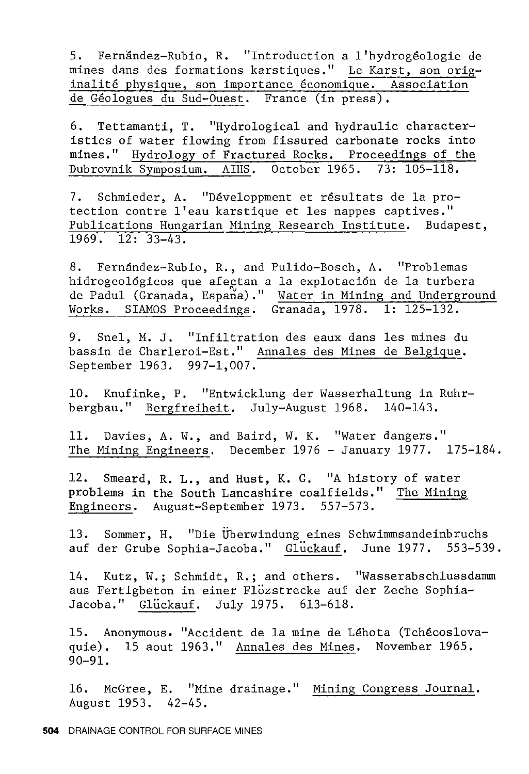5. Fernandez-Rubio, R. "Introduction a l'hydrogeologie de mines dans des formations karstiques." Le Karst, son originalité physique, son importance économique. Association de Géologues du Sud-Ouest. France (in press).

6. Tettamanti, T. "Hydrological and hydraulic characteristics of water flowing from fissured carbonate rocks into mines." Hydrology of Fractured Rocks. Proceedings of the Dubrovnik Symposium. AIRS. October 1965. 73: 105-118.

7. Schmieder, A. "Développment et résultats de la protection contre l'eau karstique et les nappes captives." Publications Hungarian Mining Research Institute. Budapest, 1969. 12: 33-43.

8. Fernandez-Rubio, R., and Pulido-Bosch, A. "Problemas hidrogeológicos que afectan a la explotación de la turbera de Padul (Granada, Espana)." Water in Mining and Underground Works. SIAMOS Proceedings. Granada, 1978. 1: 125-132.

9. Snel, M. J. "Infiltration des eaux dans les mines du bassin de Charleroi-Est." Annales des Mines de Belgique. September 1963. 997-1,007.

10. Knufinke, P. "Entwicklung der Wasserhaltung in Ruhrbergbau." Bergfreiheit. July-August 1968. 140-143.

11. Davies, A. W., and Baird, W. K. "Water dangers." The Mining Engineers. December 1976 - January 1977. 175-184.

12. Smeard, R. L., and Hust, K. G. "A history of water problems in the South Lancashire coalfields." The Mining Engineers. August-September 1973. 557-573.

13. Sommer, H. "Die Uberwindung eines Schwimmsandeinbruchs auf der Grube Sophia-Jacoba." Gluckauf. June 1977. 553-539.

14. Kutz, W.; Schmidt, R.; and others. "Wasserabschlussdamm aus Fertigbeton in einer Flozstrecke auf der Zeche Sophia-Jacoba." Glückauf. July 1975. 613-618.

15. Anonymous. "Accident de la mine de Lehota (Tchecoslovaquie). 15 aout 1963." Annales des Mines. November 1965. 90-91.

16. McGree, E. "Mine drainage." Mining Congress Journal. August 1953. 42-45.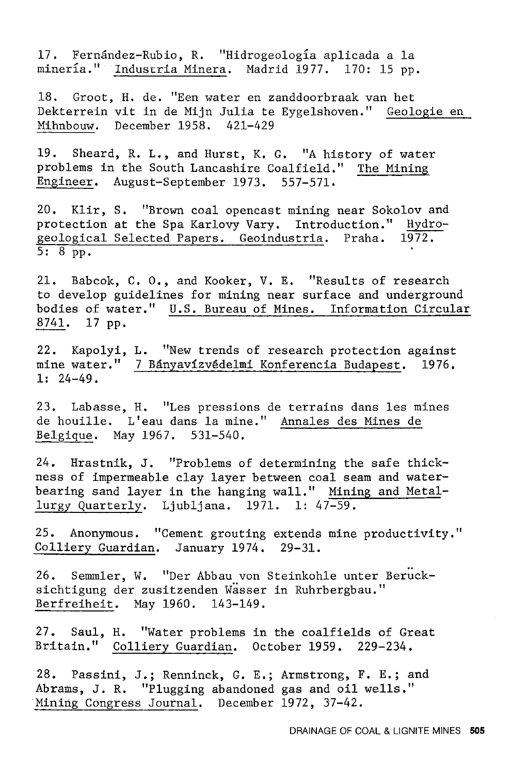17. Fernandez-Rubio, R. "Hidrogeologia aplicada a la minería." Industria Minera. Madrid 1977. 170: 15 pp.

18. Groot, H. de. "Een water en zanddoorbraak van het Dekterrein vit in de Mijn Julia te Eygelshoven." Geologie en Mihnbouw. December 1958. 421-429

19. Sheard, R. L., and Hurst, K. G. "A history of water problems in the South Lancashire Coalfield." The Mining Engineer. August-September 1973. 557-571.

20, Klir, s. "Brown coal opencast mining near Sokolov and protection at the Spa Karlovy Vary. Introduction." Hydro-<br>geological Selected Papers. Geoindustria. Praha. 1972. geological Selected Papers. Geoindustria. Praha. 5: 8 pp.

21. Babcok, C. O., and Kooker, V, E. "Results of research to develop guidelines for mining near surface and underground bodies of water." U.S. Bureau of Mines. Information Circular 8741. 17 pp.

22. Kapolyi, L. "New trends of research protection against mine water." 7 Bányavízvédelmi Konferencia Budapest. 1976. 1: 24-49.

23. Labasse, H. "Les pressions de terrains dans les mines de houille. L'eau dans la mine." Annales des Mines de Belgique. May 1967. 531-540.

24. Hrastnik, J, "Problems of determining the safe thickness of impermeable clay layer between coal seam and waterbearing sand layer in the hanging wall." Mining and Metallurgy Quarterly. Ljubljana. 1971. 1: 47-59.

25. Anonymous. "Cement grouting extends mine productivity." Colliery Guardian. January 1974. 29-31.

26. Semmler, W. "Der Abbau von Steinkohle unter Berucksichtigung der zusitzenden Wasser in Ruhrbergbau." Berfreiheit. May 1960. 143-149.

27. Saul, H. "Water problems in the coalfields of Great Britain." Colliery Guardian. October 1959. 229-234.

28. Passini, J.; Renninck, G. E.; Armstrong, F. E.; and Abrams, J, R. "Plugging abandoned gas and oil wells." Mining Congress Journal. December 1972, 37-42.